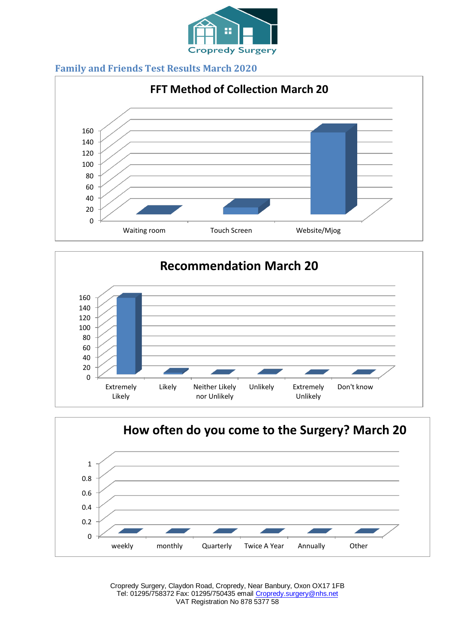









Cropredy Surgery, Claydon Road, Cropredy, Near Banbury, Oxon OX17 1FB Tel: 01295/758372 Fax: 01295/750435 email [Cropredy.surgery@nhs.net](mailto:Cropredy.surgery@nhs.net) VAT Registration No 878 5377 58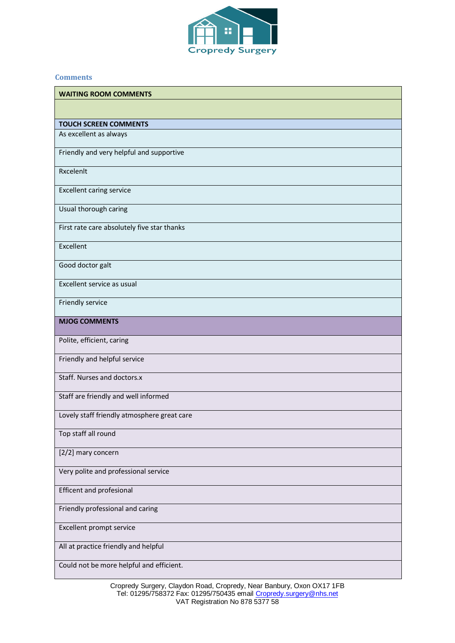

## **Comments**

| <b>WAITING ROOM COMMENTS</b>                |
|---------------------------------------------|
|                                             |
| <b>TOUCH SCREEN COMMENTS</b>                |
| As excellent as always                      |
| Friendly and very helpful and supportive    |
| Rxcelenlt                                   |
| <b>Excellent caring service</b>             |
| Usual thorough caring                       |
| First rate care absolutely five star thanks |
| Excellent                                   |
| Good doctor galt                            |
| Excellent service as usual                  |
| Friendly service                            |
| <b>MJOG COMMENTS</b>                        |
| Polite, efficient, caring                   |
| Friendly and helpful service                |
| Staff. Nurses and doctors.x                 |
| Staff are friendly and well informed        |
| Lovely staff friendly atmosphere great care |
| Top staff all round                         |
| [2/2] mary concern                          |
| Very polite and professional service        |
| <b>Efficent and profesional</b>             |
| Friendly professional and caring            |
| Excellent prompt service                    |
| All at practice friendly and helpful        |
| Could not be more helpful and efficient.    |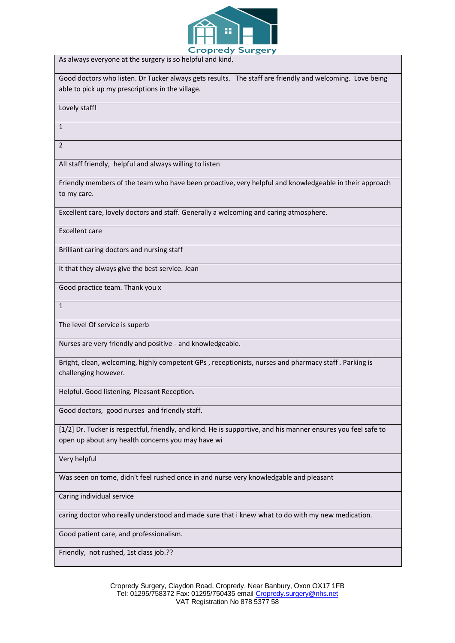

As always everyone at the surgery is so helpful and kind.

Good doctors who listen. Dr Tucker always gets results. The staff are friendly and welcoming. Love being able to pick up my prescriptions in the village.

Lovely staff!

1

2

All staff friendly, helpful and always willing to listen

Friendly members of the team who have been proactive, very helpful and knowledgeable in their approach to my care.

Excellent care, lovely doctors and staff. Generally a welcoming and caring atmosphere.

Excellent care

Brilliant caring doctors and nursing staff

It that they always give the best service. Jean

Good practice team. Thank you x

1

The level Of service is superb

Nurses are very friendly and positive - and knowledgeable.

Bright, clean, welcoming, highly competent GPs , receptionists, nurses and pharmacy staff . Parking is challenging however.

Helpful. Good listening. Pleasant Reception.

Good doctors, good nurses and friendly staff.

[1/2] Dr. Tucker is respectful, friendly, and kind. He is supportive, and his manner ensures you feel safe to open up about any health concerns you may have wi

Very helpful

Was seen on tome, didn't feel rushed once in and nurse very knowledgable and pleasant

Caring individual service

caring doctor who really understood and made sure that i knew what to do with my new medication.

Good patient care, and professionalism.

Friendly, not rushed, 1st class job.??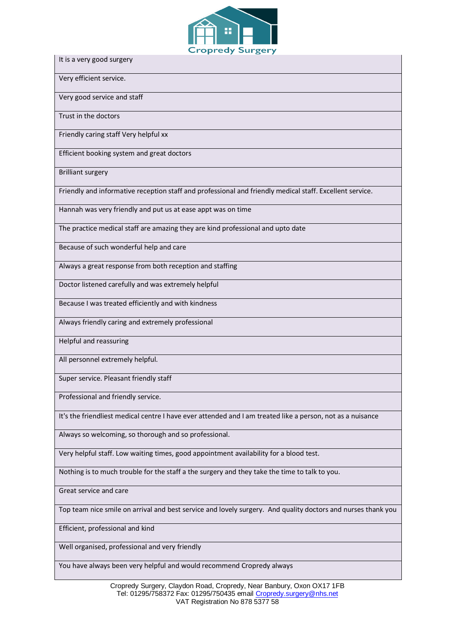

It is a very good surgery

Very efficient service.

Very good service and staff

Trust in the doctors

Friendly caring staff Very helpful xx

Efficient booking system and great doctors

Brilliant surgery

Friendly and informative reception staff and professional and friendly medical staff. Excellent service.

Hannah was very friendly and put us at ease appt was on time

The practice medical staff are amazing they are kind professional and upto date

Because of such wonderful help and care

Always a great response from both reception and staffing

Doctor listened carefully and was extremely helpful

Because I was treated efficiently and with kindness

Always friendly caring and extremely professional

Helpful and reassuring

All personnel extremely helpful.

Super service. Pleasant friendly staff

Professional and friendly service.

It's the friendliest medical centre I have ever attended and I am treated like a person, not as a nuisance

Always so welcoming, so thorough and so professional.

Very helpful staff. Low waiting times, good appointment availability for a blood test.

Nothing is to much trouble for the staff a the surgery and they take the time to talk to you.

Great service and care

Top team nice smile on arrival and best service and lovely surgery. And quality doctors and nurses thank you

Efficient, professional and kind

Well organised, professional and very friendly

You have always been very helpful and would recommend Cropredy always